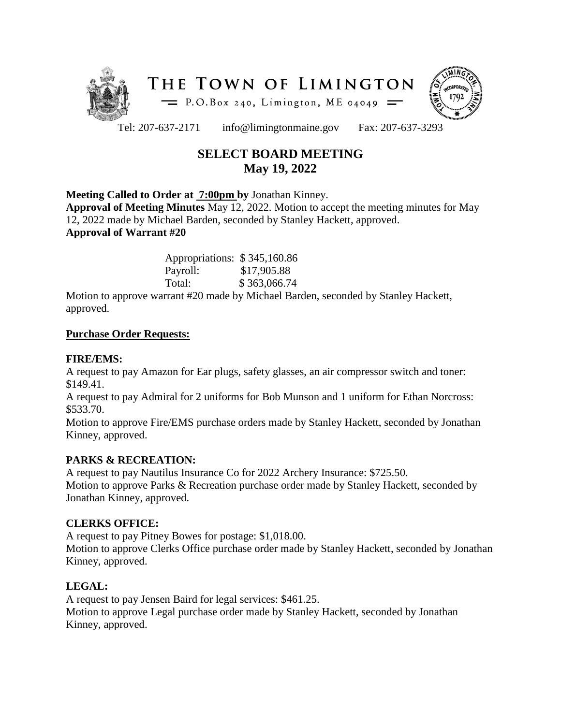



Tel: 207-637-2171 info@limingtonmaine.gov Fax: 207-637-3293

# **SELECT BOARD MEETING May 19, 2022**

# **Meeting Called to Order at 7:00pm by** Jonathan Kinney.

**Approval of Meeting Minutes** May 12, 2022. Motion to accept the meeting minutes for May 12, 2022 made by Michael Barden, seconded by Stanley Hackett, approved. **Approval of Warrant #20**

> Appropriations: \$ 345,160.86 Payroll: \$17,905.88 Total: \$ 363,066.74

Motion to approve warrant #20 made by Michael Barden, seconded by Stanley Hackett, approved.

#### **Purchase Order Requests:**

#### **FIRE/EMS:**

A request to pay Amazon for Ear plugs, safety glasses, an air compressor switch and toner: \$149.41.

A request to pay Admiral for 2 uniforms for Bob Munson and 1 uniform for Ethan Norcross: \$533.70.

Motion to approve Fire/EMS purchase orders made by Stanley Hackett, seconded by Jonathan Kinney, approved.

#### **PARKS & RECREATION:**

A request to pay Nautilus Insurance Co for 2022 Archery Insurance: \$725.50. Motion to approve Parks & Recreation purchase order made by Stanley Hackett, seconded by Jonathan Kinney, approved.

#### **CLERKS OFFICE:**

A request to pay Pitney Bowes for postage: \$1,018.00.

Motion to approve Clerks Office purchase order made by Stanley Hackett, seconded by Jonathan Kinney, approved.

#### **LEGAL:**

A request to pay Jensen Baird for legal services: \$461.25. Motion to approve Legal purchase order made by Stanley Hackett, seconded by Jonathan Kinney, approved.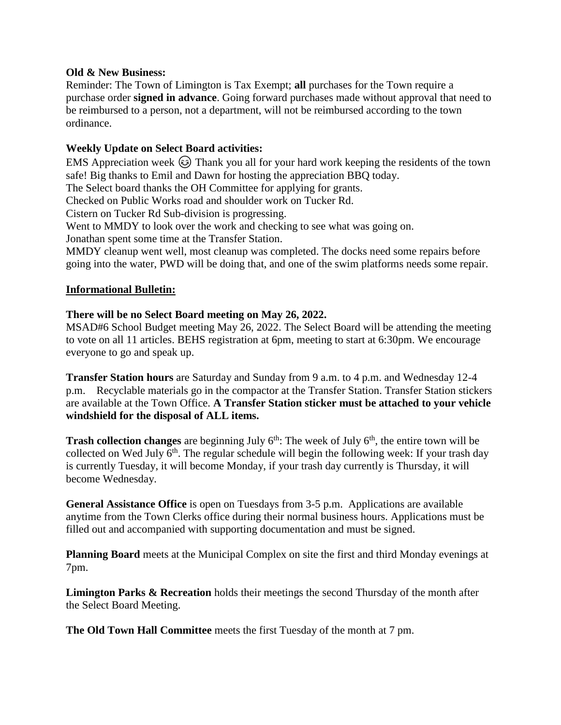#### **Old & New Business:**

Reminder: The Town of Limington is Tax Exempt; **all** purchases for the Town require a purchase order **signed in advance**. Going forward purchases made without approval that need to be reimbursed to a person, not a department, will not be reimbursed according to the town ordinance.

### **Weekly Update on Select Board activities:**

EMS Appreciation week  $\odot$  Thank you all for your hard work keeping the residents of the town safe! Big thanks to Emil and Dawn for hosting the appreciation BBQ today.

The Select board thanks the OH Committee for applying for grants.

Checked on Public Works road and shoulder work on Tucker Rd.

Cistern on Tucker Rd Sub-division is progressing.

Went to MMDY to look over the work and checking to see what was going on.

Jonathan spent some time at the Transfer Station.

MMDY cleanup went well, most cleanup was completed. The docks need some repairs before going into the water, PWD will be doing that, and one of the swim platforms needs some repair.

# **Informational Bulletin:**

# **There will be no Select Board meeting on May 26, 2022.**

MSAD#6 School Budget meeting May 26, 2022. The Select Board will be attending the meeting to vote on all 11 articles. BEHS registration at 6pm, meeting to start at 6:30pm. We encourage everyone to go and speak up.

**Transfer Station hours** are Saturday and Sunday from 9 a.m. to 4 p.m. and Wednesday 12-4 p.m. Recyclable materials go in the compactor at the Transfer Station. Transfer Station stickers are available at the Town Office. **A Transfer Station sticker must be attached to your vehicle windshield for the disposal of ALL items.**

**Trash collection changes** are beginning July  $6<sup>th</sup>$ . The week of July  $6<sup>th</sup>$ , the entire town will be collected on Wed July  $6<sup>th</sup>$ . The regular schedule will begin the following week: If your trash day is currently Tuesday, it will become Monday, if your trash day currently is Thursday, it will become Wednesday.

**General Assistance Office** is open on Tuesdays from 3-5 p.m. Applications are available anytime from the Town Clerks office during their normal business hours. Applications must be filled out and accompanied with supporting documentation and must be signed.

**Planning Board** meets at the Municipal Complex on site the first and third Monday evenings at 7pm.

**Limington Parks & Recreation** holds their meetings the second Thursday of the month after the Select Board Meeting.

**The Old Town Hall Committee** meets the first Tuesday of the month at 7 pm.